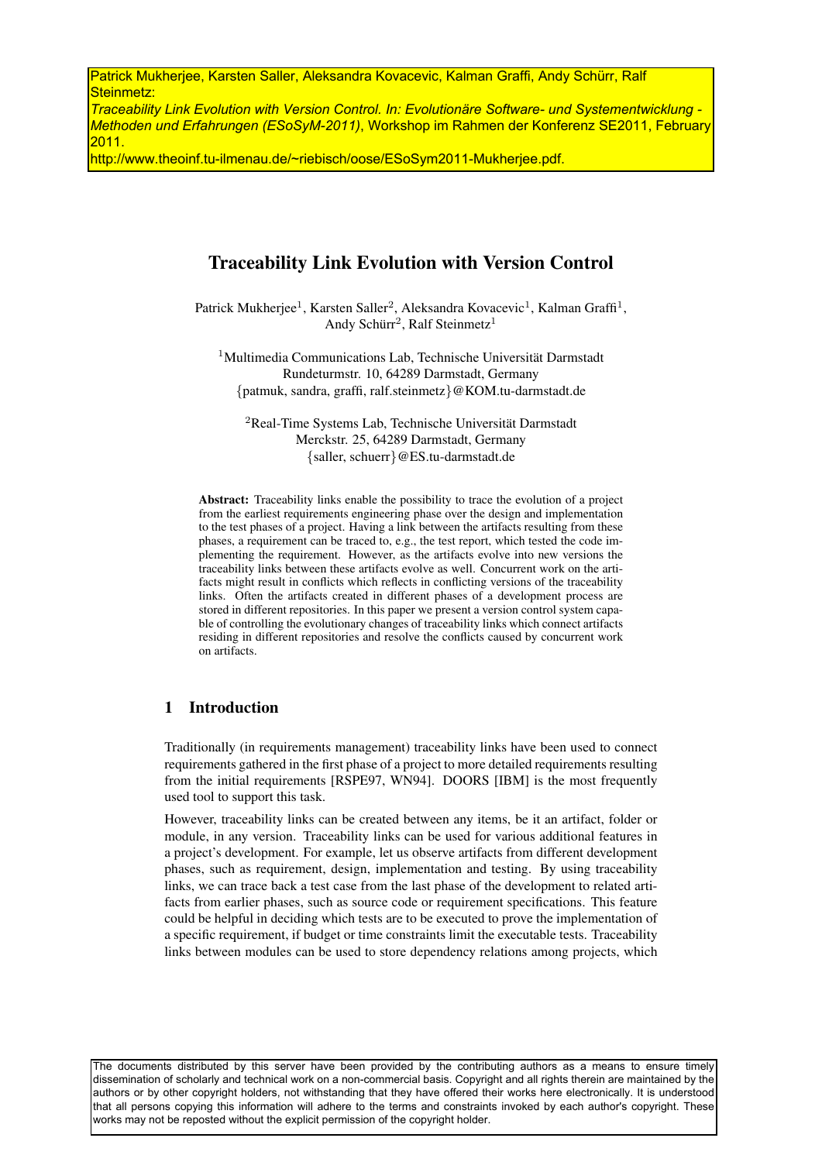Patrick Mukherjee, Karsten Saller, Aleksandra Kovacevic, Kalman Graffi, Andy Schürr, Ralf Steinmetz:

*Traceability Link Evolution with Version Control. In: Evolutionäre Software- und Systementwicklung - Methoden und Erfahrungen (ESoSyM-2011)*, Workshop im Rahmen der Konferenz SE2011, February 2011.

http://www.theoinf.tu-ilmenau.de/~riebisch/oose/ESoSym2011-Mukherjee.pdf.

# Traceability Link Evolution with Version Control

Patrick Mukherjee<sup>1</sup>, Karsten Saller<sup>2</sup>, Aleksandra Kovacevic<sup>1</sup>, Kalman Graffi<sup>1</sup>, Andy Schürr<sup>2</sup>, Ralf Steinmetz<sup>1</sup>

 $1$ Multimedia Communications Lab, Technische Universität Darmstadt Rundeturmstr. 10, 64289 Darmstadt, Germany {patmuk, sandra, graffi, ralf.steinmetz}@KOM.tu-darmstadt.de

<sup>2</sup>Real-Time Systems Lab, Technische Universität Darmstadt Merckstr. 25, 64289 Darmstadt, Germany {saller, schuerr}@ES.tu-darmstadt.de

Abstract: Traceability links enable the possibility to trace the evolution of a project from the earliest requirements engineering phase over the design and implementation to the test phases of a project. Having a link between the artifacts resulting from these phases, a requirement can be traced to, e.g., the test report, which tested the code implementing the requirement. However, as the artifacts evolve into new versions the traceability links between these artifacts evolve as well. Concurrent work on the artifacts might result in conflicts which reflects in conflicting versions of the traceability links. Often the artifacts created in different phases of a development process are stored in different repositories. In this paper we present a version control system capable of controlling the evolutionary changes of traceability links which connect artifacts residing in different repositories and resolve the conflicts caused by concurrent work on artifacts.

## 1 Introduction

Traditionally (in requirements management) traceability links have been used to connect requirements gathered in the first phase of a project to more detailed requirements resulting from the initial requirements [RSPE97, WN94]. DOORS [IBM] is the most frequently used tool to support this task.

However, traceability links can be created between any items, be it an artifact, folder or module, in any version. Traceability links can be used for various additional features in a project's development. For example, let us observe artifacts from different development phases, such as requirement, design, implementation and testing. By using traceability links, we can trace back a test case from the last phase of the development to related artifacts from earlier phases, such as source code or requirement specifications. This feature could be helpful in deciding which tests are to be executed to prove the implementation of a specific requirement, if budget or time constraints limit the executable tests. Traceability links between modules can be used to store dependency relations among projects, which

The documents distributed by this server have been provided by the contributing authors as a means to ensure timely dissemination of scholarly and technical work on a non-commercial basis. Copyright and all rights therein are maintained by the authors or by other copyright holders, not withstanding that they have offered their works here electronically. It is understood that all persons copying this information will adhere to the terms and constraints invoked by each author's copyright. These works may not be reposted without the explicit permission of the copyright holder.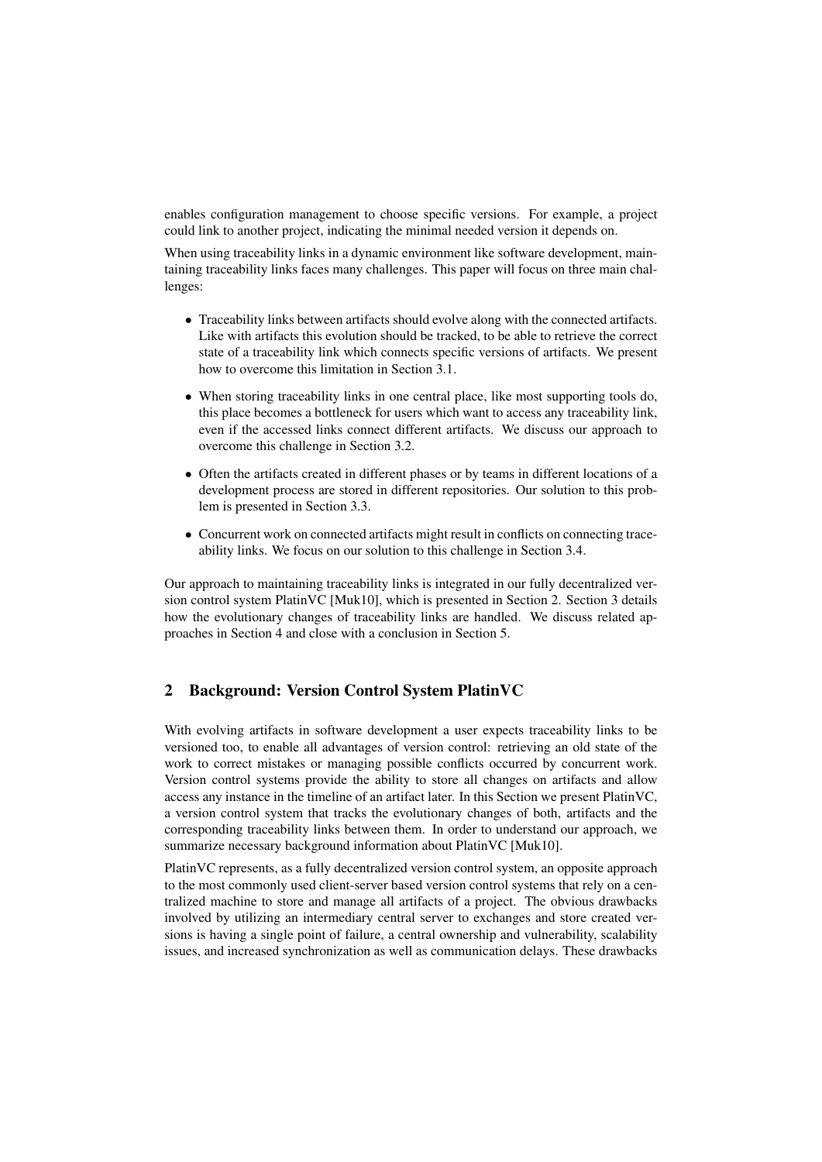enables configuration management to choose specific versions. For example, a project could link to another project, indicating the minimal needed version it depends on.

When using traceability links in a dynamic environment like software development, maintaining traceability links faces many challenges. This paper will focus on three main challenges:

- Traceability links between artifacts should evolve along with the connected artifacts. Like with artifacts this evolution should be tracked, to be able to retrieve the correct state of a traceability link which connects specific versions of artifacts. We present how to overcome this limitation in Section 3.1.
- When storing traceability links in one central place, like most supporting tools do, this place becomes a bottleneck for users which want to access any traceability link, even if the accessed links connect different artifacts. We discuss our approach to overcome this challenge in Section 3.2.
- Often the artifacts created in different phases or by teams in different locations of a development process are stored in different repositories. Our solution to this problem is presented in Section 3.3.
- Concurrent work on connected artifacts might result in conflicts on connecting traceability links. We focus on our solution to this challenge in Section 3.4.

Our approach to maintaining traceability links is integrated in our fully decentralized version control system PlatinVC [Muk10], which is presented in Section 2. Section 3 details how the evolutionary changes of traceability links are handled. We discuss related approaches in Section 4 and close with a conclusion in Section 5.

# 2 Background: Version Control System PlatinVC

With evolving artifacts in software development a user expects traceability links to be versioned too, to enable all advantages of version control: retrieving an old state of the work to correct mistakes or managing possible conflicts occurred by concurrent work. Version control systems provide the ability to store all changes on artifacts and allow access any instance in the timeline of an artifact later. In this Section we present PlatinVC, a version control system that tracks the evolutionary changes of both, artifacts and the corresponding traceability links between them. In order to understand our approach, we summarize necessary background information about PlatinVC [Muk10].

PlatinVC represents, as a fully decentralized version control system, an opposite approach to the most commonly used client-server based version control systems that rely on a centralized machine to store and manage all artifacts of a project. The obvious drawbacks involved by utilizing an intermediary central server to exchanges and store created versions is having a single point of failure, a central ownership and vulnerability, scalability issues, and increased synchronization as well as communication delays. These drawbacks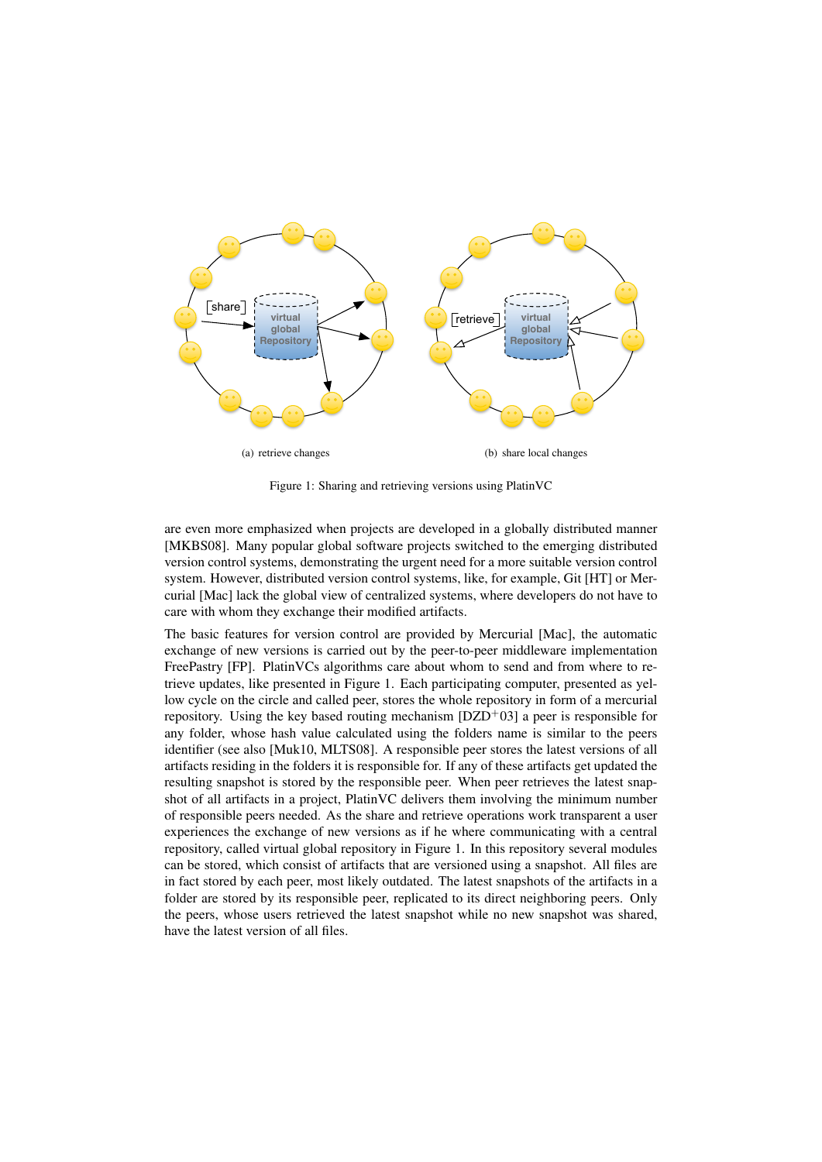

Figure 1: Sharing and retrieving versions using PlatinVC

are even more emphasized when projects are developed in a globally distributed manner [MKBS08]. Many popular global software projects switched to the emerging distributed version control systems, demonstrating the urgent need for a more suitable version control system. However, distributed version control systems, like, for example, Git [HT] or Mercurial [Mac] lack the global view of centralized systems, where developers do not have to care with whom they exchange their modified artifacts.

The basic features for version control are provided by Mercurial [Mac], the automatic exchange of new versions is carried out by the peer-to-peer middleware implementation FreePastry [FP]. PlatinVCs algorithms care about whom to send and from where to retrieve updates, like presented in Figure 1. Each participating computer, presented as yellow cycle on the circle and called peer, stores the whole repository in form of a mercurial repository. Using the key based routing mechanism  $[DZD^+03]$  a peer is responsible for any folder, whose hash value calculated using the folders name is similar to the peers identifier (see also [Muk10, MLTS08]. A responsible peer stores the latest versions of all artifacts residing in the folders it is responsible for. If any of these artifacts get updated the resulting snapshot is stored by the responsible peer. When peer retrieves the latest snapshot of all artifacts in a project, PlatinVC delivers them involving the minimum number of responsible peers needed. As the share and retrieve operations work transparent a user experiences the exchange of new versions as if he where communicating with a central repository, called virtual global repository in Figure 1. In this repository several modules can be stored, which consist of artifacts that are versioned using a snapshot. All files are in fact stored by each peer, most likely outdated. The latest snapshots of the artifacts in a folder are stored by its responsible peer, replicated to its direct neighboring peers. Only the peers, whose users retrieved the latest snapshot while no new snapshot was shared, have the latest version of all files.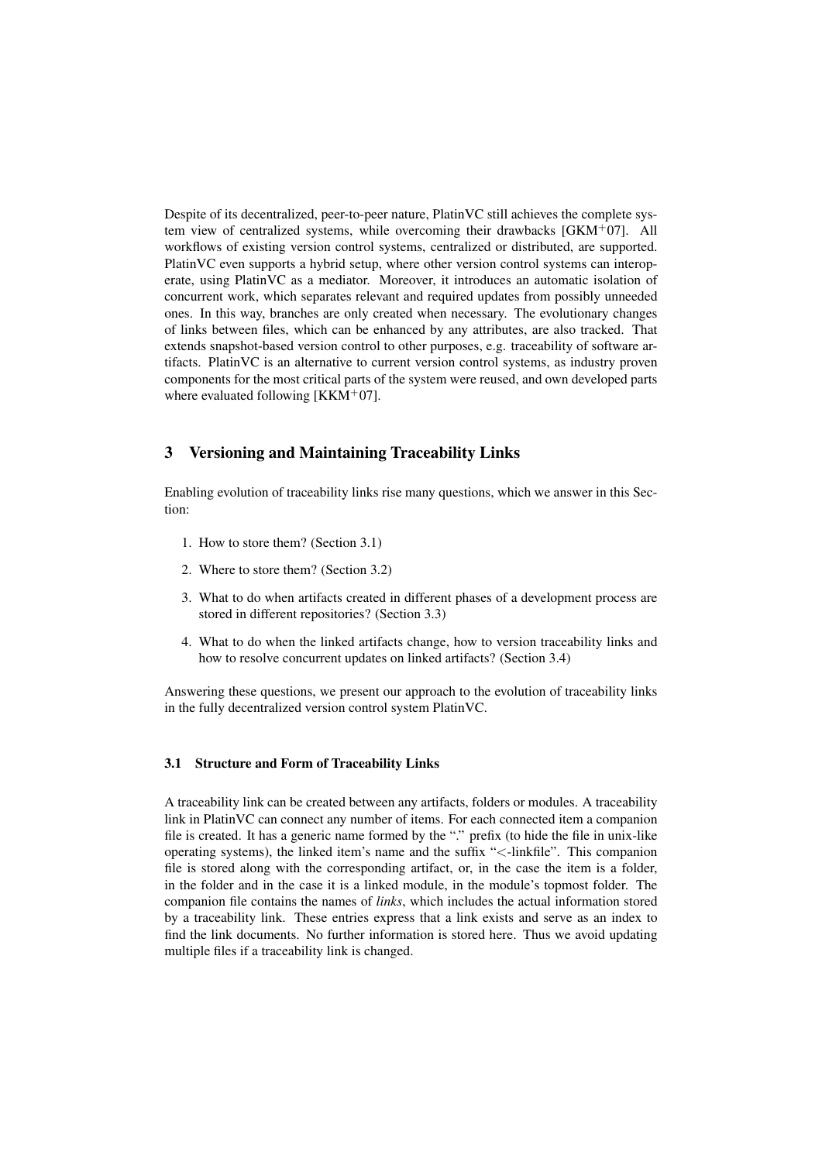Despite of its decentralized, peer-to-peer nature, PlatinVC still achieves the complete system view of centralized systems, while overcoming their drawbacks  $[GKM^+07]$ . All workflows of existing version control systems, centralized or distributed, are supported. PlatinVC even supports a hybrid setup, where other version control systems can interoperate, using PlatinVC as a mediator. Moreover, it introduces an automatic isolation of concurrent work, which separates relevant and required updates from possibly unneeded ones. In this way, branches are only created when necessary. The evolutionary changes of links between files, which can be enhanced by any attributes, are also tracked. That extends snapshot-based version control to other purposes, e.g. traceability of software artifacts. PlatinVC is an alternative to current version control systems, as industry proven components for the most critical parts of the system were reused, and own developed parts where evaluated following  $[KKM^+07]$ .

# 3 Versioning and Maintaining Traceability Links

Enabling evolution of traceability links rise many questions, which we answer in this Section:

- 1. How to store them? (Section 3.1)
- 2. Where to store them? (Section 3.2)
- 3. What to do when artifacts created in different phases of a development process are stored in different repositories? (Section 3.3)
- 4. What to do when the linked artifacts change, how to version traceability links and how to resolve concurrent updates on linked artifacts? (Section 3.4)

Answering these questions, we present our approach to the evolution of traceability links in the fully decentralized version control system PlatinVC.

### 3.1 Structure and Form of Traceability Links

A traceability link can be created between any artifacts, folders or modules. A traceability link in PlatinVC can connect any number of items. For each connected item a companion file is created. It has a generic name formed by the "." prefix (to hide the file in unix-like operating systems), the linked item's name and the suffix "<-linkfile". This companion file is stored along with the corresponding artifact, or, in the case the item is a folder, in the folder and in the case it is a linked module, in the module's topmost folder. The companion file contains the names of *links*, which includes the actual information stored by a traceability link. These entries express that a link exists and serve as an index to find the link documents. No further information is stored here. Thus we avoid updating multiple files if a traceability link is changed.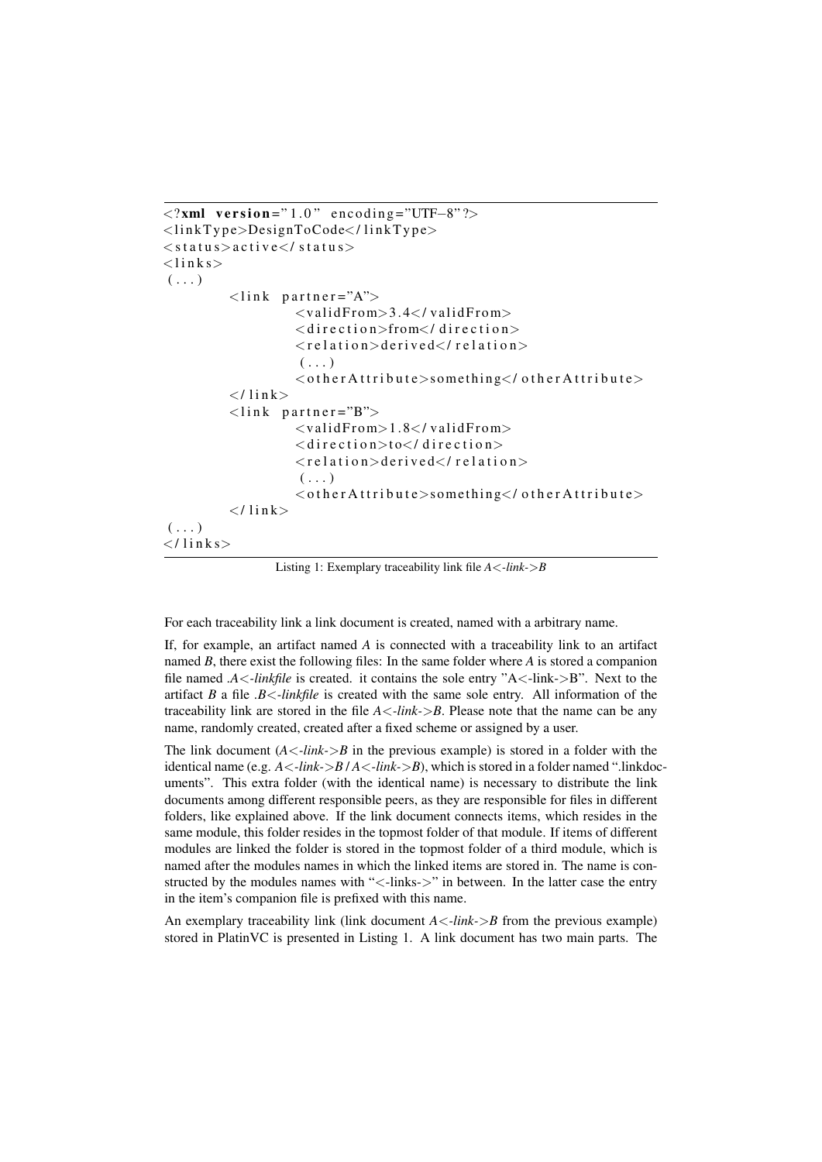```
\langle?xml version="1.0" encoding="UTF-8"?>
\langlelinkType>DesignToCode\langlelinkType>
\langlestatus>active\langle/status><links>
\left( \ldots \right)\langlelink partner="A">
                      <validFrom>3.4</validFrom\langle direction>from\langle/ direction>\langle relation > derived\langle / relation >( \ldots )< other Attribute > something < / other Attribute >
           \langle/link>
           \langlelink partner="B">
                      \langlevalidFrom>1.8\langle/validFrom>\langle direction>to\langle/ direction>\langlerelation>derived\langle/relation>( \ldots )< other Attribute > something < / other Attribute >
           \langle / link >(\ldots)\langle/links>
```
Listing 1: Exemplary traceability link file *A*<*-link-*>*B*

For each traceability link a link document is created, named with a arbitrary name.

If, for example, an artifact named *A* is connected with a traceability link to an artifact named *B*, there exist the following files: In the same folder where *A* is stored a companion file named *.A*<*-linkfile* is created. it contains the sole entry "A<-link->B". Next to the artifact *B* a file *.B*<*-linkfile* is created with the same sole entry. All information of the traceability link are stored in the file *A*<*-link-*>*B*. Please note that the name can be any name, randomly created, created after a fixed scheme or assigned by a user.

The link document  $(A \leq -\text{link} > B$  in the previous example) is stored in a folder with the identical name (e.g.  $A \leq -\frac{link}{>}B/A \leq -\frac{link}{>}B$ ), which is stored in a folder named ".linkdocuments". This extra folder (with the identical name) is necessary to distribute the link documents among different responsible peers, as they are responsible for files in different folders, like explained above. If the link document connects items, which resides in the same module, this folder resides in the topmost folder of that module. If items of different modules are linked the folder is stored in the topmost folder of a third module, which is named after the modules names in which the linked items are stored in. The name is constructed by the modules names with "<-links->" in between. In the latter case the entry in the item's companion file is prefixed with this name.

An exemplary traceability link (link document  $A \leq -\frac{link}{\geq}B$  from the previous example) stored in PlatinVC is presented in Listing 1. A link document has two main parts. The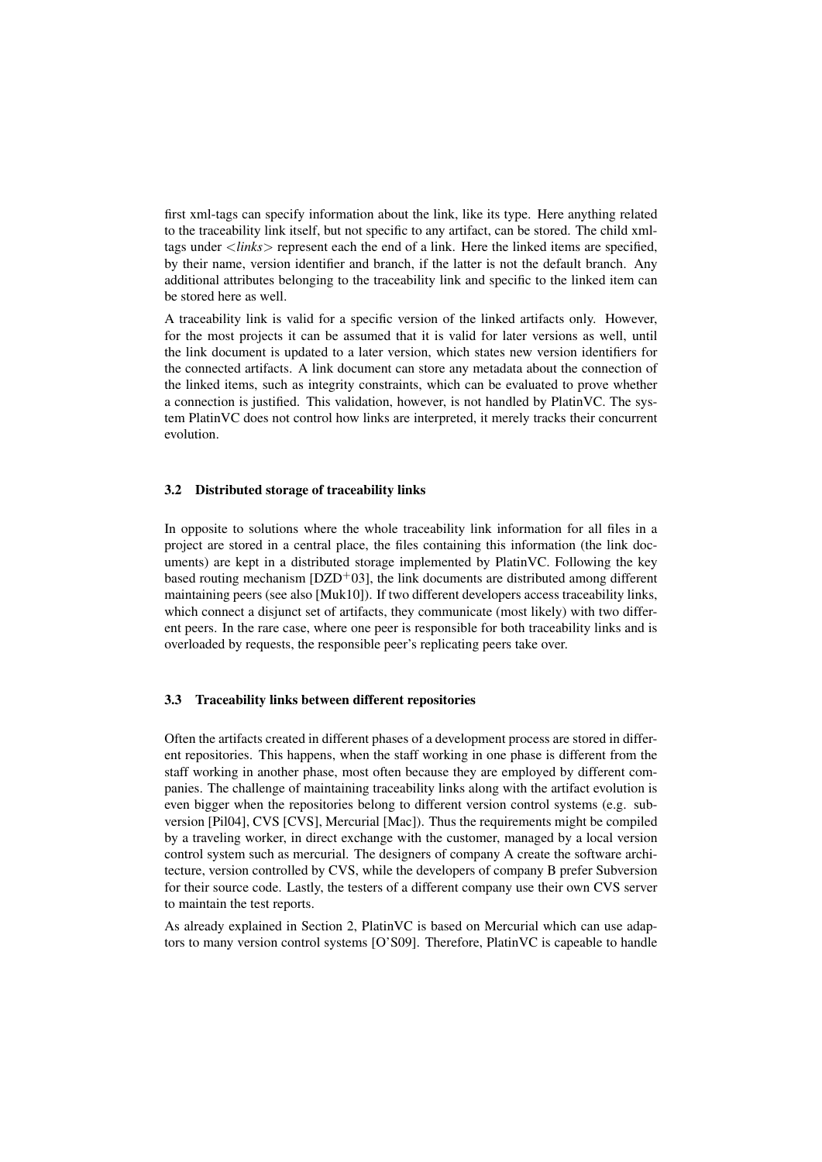first xml-tags can specify information about the link, like its type. Here anything related to the traceability link itself, but not specific to any artifact, can be stored. The child xmltags under <*links*> represent each the end of a link. Here the linked items are specified, by their name, version identifier and branch, if the latter is not the default branch. Any additional attributes belonging to the traceability link and specific to the linked item can be stored here as well.

A traceability link is valid for a specific version of the linked artifacts only. However, for the most projects it can be assumed that it is valid for later versions as well, until the link document is updated to a later version, which states new version identifiers for the connected artifacts. A link document can store any metadata about the connection of the linked items, such as integrity constraints, which can be evaluated to prove whether a connection is justified. This validation, however, is not handled by PlatinVC. The system PlatinVC does not control how links are interpreted, it merely tracks their concurrent evolution.

### 3.2 Distributed storage of traceability links

In opposite to solutions where the whole traceability link information for all files in a project are stored in a central place, the files containing this information (the link documents) are kept in a distributed storage implemented by PlatinVC. Following the key based routing mechanism  $[DZD<sup>+</sup>03]$ , the link documents are distributed among different maintaining peers (see also [Muk10]). If two different developers access traceability links, which connect a disjunct set of artifacts, they communicate (most likely) with two different peers. In the rare case, where one peer is responsible for both traceability links and is overloaded by requests, the responsible peer's replicating peers take over.

#### 3.3 Traceability links between different repositories

Often the artifacts created in different phases of a development process are stored in different repositories. This happens, when the staff working in one phase is different from the staff working in another phase, most often because they are employed by different companies. The challenge of maintaining traceability links along with the artifact evolution is even bigger when the repositories belong to different version control systems (e.g. subversion [Pil04], CVS [CVS], Mercurial [Mac]). Thus the requirements might be compiled by a traveling worker, in direct exchange with the customer, managed by a local version control system such as mercurial. The designers of company A create the software architecture, version controlled by CVS, while the developers of company B prefer Subversion for their source code. Lastly, the testers of a different company use their own CVS server to maintain the test reports.

As already explained in Section 2, PlatinVC is based on Mercurial which can use adaptors to many version control systems [O'S09]. Therefore, PlatinVC is capeable to handle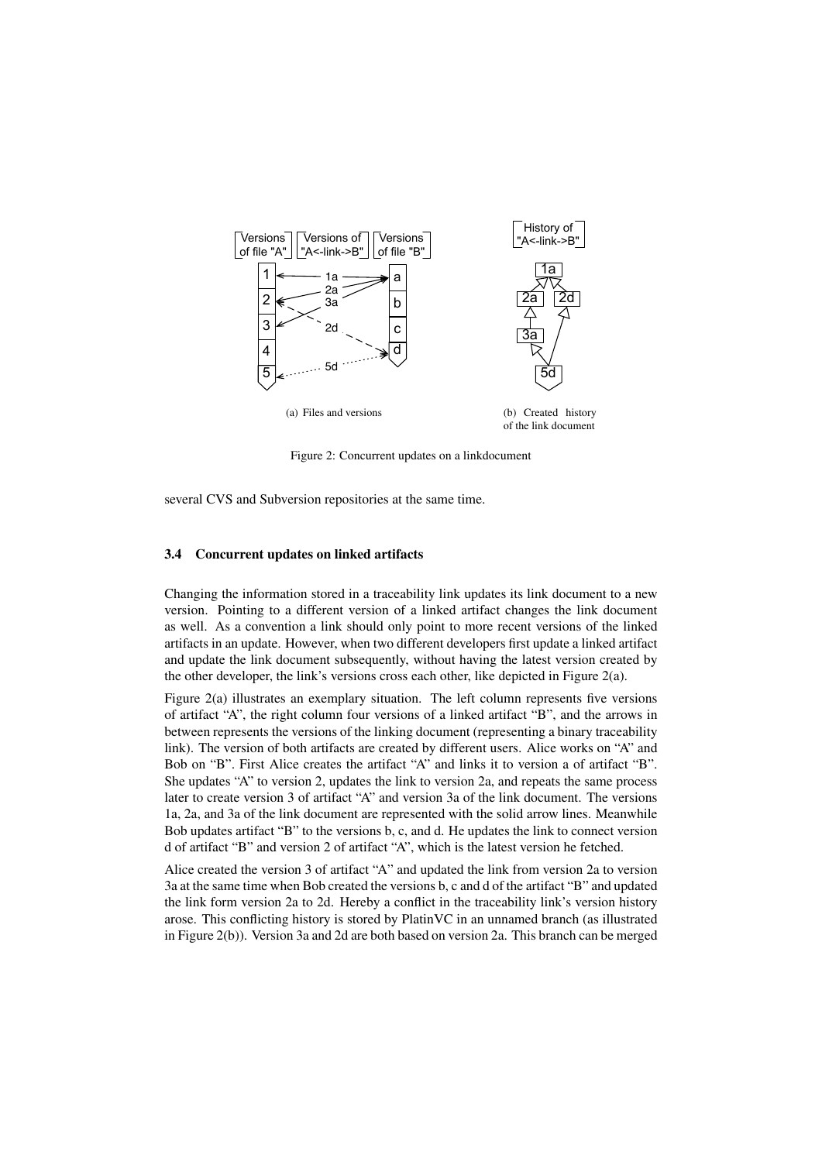

Figure 2: Concurrent updates on a linkdocument

several CVS and Subversion repositories at the same time.

#### 3.4 Concurrent updates on linked artifacts

Changing the information stored in a traceability link updates its link document to a new version. Pointing to a different version of a linked artifact changes the link document as well. As a convention a link should only point to more recent versions of the linked artifacts in an update. However, when two different developers first update a linked artifact and update the link document subsequently, without having the latest version created by the other developer, the link's versions cross each other, like depicted in Figure  $2(a)$ .

Figure 2(a) illustrates an exemplary situation. The left column represents five versions of artifact "A", the right column four versions of a linked artifact "B", and the arrows in between represents the versions of the linking document (representing a binary traceability link). The version of both artifacts are created by different users. Alice works on "A" and Bob on "B". First Alice creates the artifact "A" and links it to version a of artifact "B". She updates "A" to version 2, updates the link to version 2a, and repeats the same process later to create version 3 of artifact "A" and version 3a of the link document. The versions 1a, 2a, and 3a of the link document are represented with the solid arrow lines. Meanwhile Bob updates artifact "B" to the versions b, c, and d. He updates the link to connect version d of artifact "B" and version 2 of artifact "A", which is the latest version he fetched.

Alice created the version 3 of artifact "A" and updated the link from version 2a to version 3a at the same time when Bob created the versions b, c and d of the artifact "B" and updated the link form version 2a to 2d. Hereby a conflict in the traceability link's version history arose. This conflicting history is stored by PlatinVC in an unnamed branch (as illustrated in Figure 2(b)). Version 3a and 2d are both based on version 2a. This branch can be merged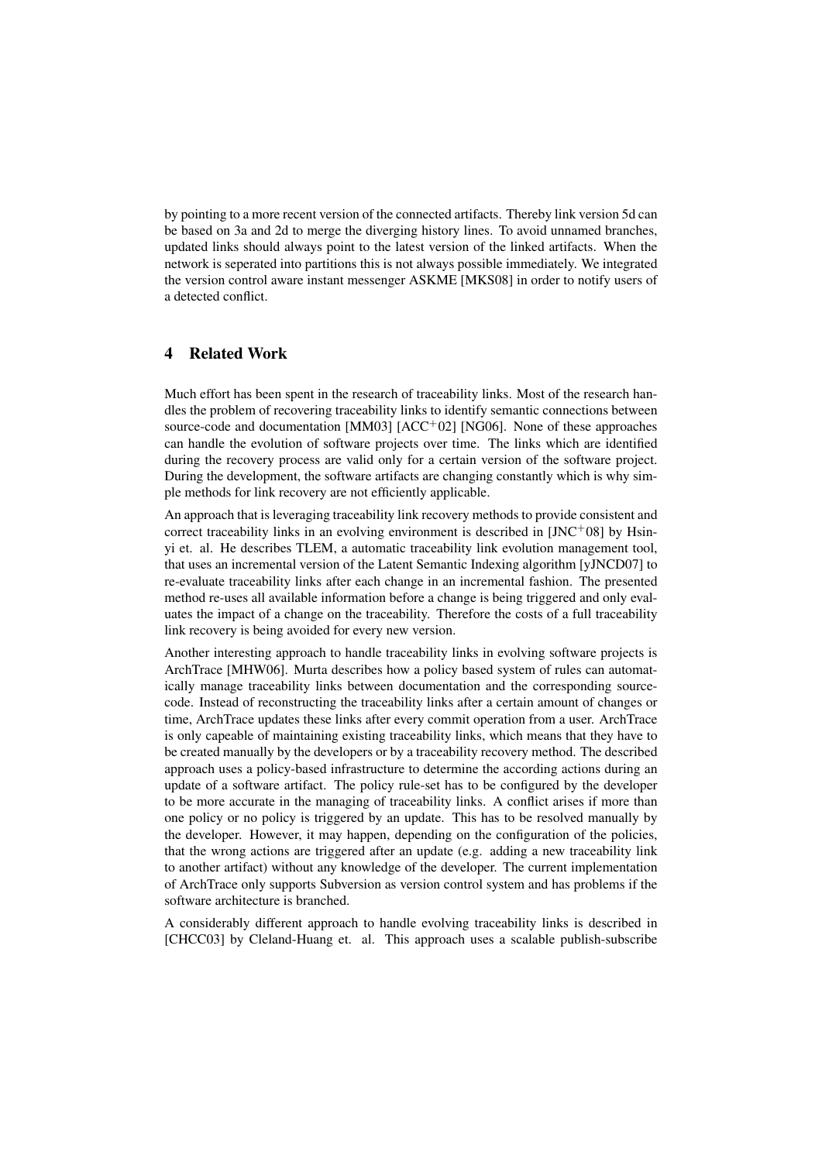by pointing to a more recent version of the connected artifacts. Thereby link version 5d can be based on 3a and 2d to merge the diverging history lines. To avoid unnamed branches, updated links should always point to the latest version of the linked artifacts. When the network is seperated into partitions this is not always possible immediately. We integrated the version control aware instant messenger ASKME [MKS08] in order to notify users of a detected conflict.

# 4 Related Work

Much effort has been spent in the research of traceability links. Most of the research handles the problem of recovering traceability links to identify semantic connections between source-code and documentation [MM03] [ACC<sup>+</sup>02] [NG06]. None of these approaches can handle the evolution of software projects over time. The links which are identified during the recovery process are valid only for a certain version of the software project. During the development, the software artifacts are changing constantly which is why simple methods for link recovery are not efficiently applicable.

An approach that is leveraging traceability link recovery methods to provide consistent and correct traceability links in an evolving environment is described in  $[JNC<sup>+</sup>08]$  by Hsinyi et. al. He describes TLEM, a automatic traceability link evolution management tool, that uses an incremental version of the Latent Semantic Indexing algorithm [yJNCD07] to re-evaluate traceability links after each change in an incremental fashion. The presented method re-uses all available information before a change is being triggered and only evaluates the impact of a change on the traceability. Therefore the costs of a full traceability link recovery is being avoided for every new version.

Another interesting approach to handle traceability links in evolving software projects is ArchTrace [MHW06]. Murta describes how a policy based system of rules can automatically manage traceability links between documentation and the corresponding sourcecode. Instead of reconstructing the traceability links after a certain amount of changes or time, ArchTrace updates these links after every commit operation from a user. ArchTrace is only capeable of maintaining existing traceability links, which means that they have to be created manually by the developers or by a traceability recovery method. The described approach uses a policy-based infrastructure to determine the according actions during an update of a software artifact. The policy rule-set has to be configured by the developer to be more accurate in the managing of traceability links. A conflict arises if more than one policy or no policy is triggered by an update. This has to be resolved manually by the developer. However, it may happen, depending on the configuration of the policies, that the wrong actions are triggered after an update (e.g. adding a new traceability link to another artifact) without any knowledge of the developer. The current implementation of ArchTrace only supports Subversion as version control system and has problems if the software architecture is branched.

A considerably different approach to handle evolving traceability links is described in [CHCC03] by Cleland-Huang et. al. This approach uses a scalable publish-subscribe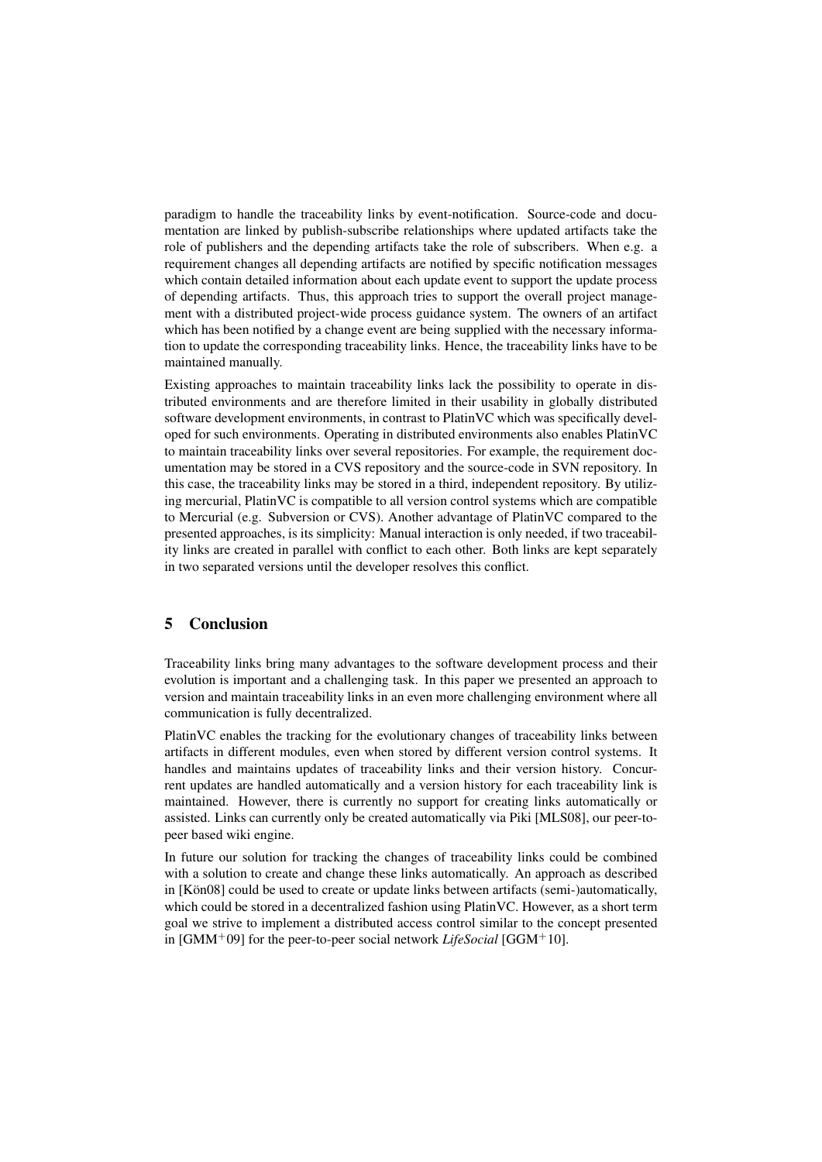paradigm to handle the traceability links by event-notification. Source-code and documentation are linked by publish-subscribe relationships where updated artifacts take the role of publishers and the depending artifacts take the role of subscribers. When e.g. a requirement changes all depending artifacts are notified by specific notification messages which contain detailed information about each update event to support the update process of depending artifacts. Thus, this approach tries to support the overall project management with a distributed project-wide process guidance system. The owners of an artifact which has been notified by a change event are being supplied with the necessary information to update the corresponding traceability links. Hence, the traceability links have to be maintained manually.

Existing approaches to maintain traceability links lack the possibility to operate in distributed environments and are therefore limited in their usability in globally distributed software development environments, in contrast to PlatinVC which was specifically developed for such environments. Operating in distributed environments also enables PlatinVC to maintain traceability links over several repositories. For example, the requirement documentation may be stored in a CVS repository and the source-code in SVN repository. In this case, the traceability links may be stored in a third, independent repository. By utilizing mercurial, PlatinVC is compatible to all version control systems which are compatible to Mercurial (e.g. Subversion or CVS). Another advantage of PlatinVC compared to the presented approaches, is its simplicity: Manual interaction is only needed, if two traceability links are created in parallel with conflict to each other. Both links are kept separately in two separated versions until the developer resolves this conflict.

## 5 Conclusion

Traceability links bring many advantages to the software development process and their evolution is important and a challenging task. In this paper we presented an approach to version and maintain traceability links in an even more challenging environment where all communication is fully decentralized.

PlatinVC enables the tracking for the evolutionary changes of traceability links between artifacts in different modules, even when stored by different version control systems. It handles and maintains updates of traceability links and their version history. Concurrent updates are handled automatically and a version history for each traceability link is maintained. However, there is currently no support for creating links automatically or assisted. Links can currently only be created automatically via Piki [MLS08], our peer-topeer based wiki engine.

In future our solution for tracking the changes of traceability links could be combined with a solution to create and change these links automatically. An approach as described in  $[K\ddot{o}n08]$  could be used to create or update links between artifacts (semi-)automatically, which could be stored in a decentralized fashion using PlatinVC. However, as a short term goal we strive to implement a distributed access control similar to the concept presented in [GMM<sup>+</sup>09] for the peer-to-peer social network *LifeSocial* [GGM<sup>+</sup>10].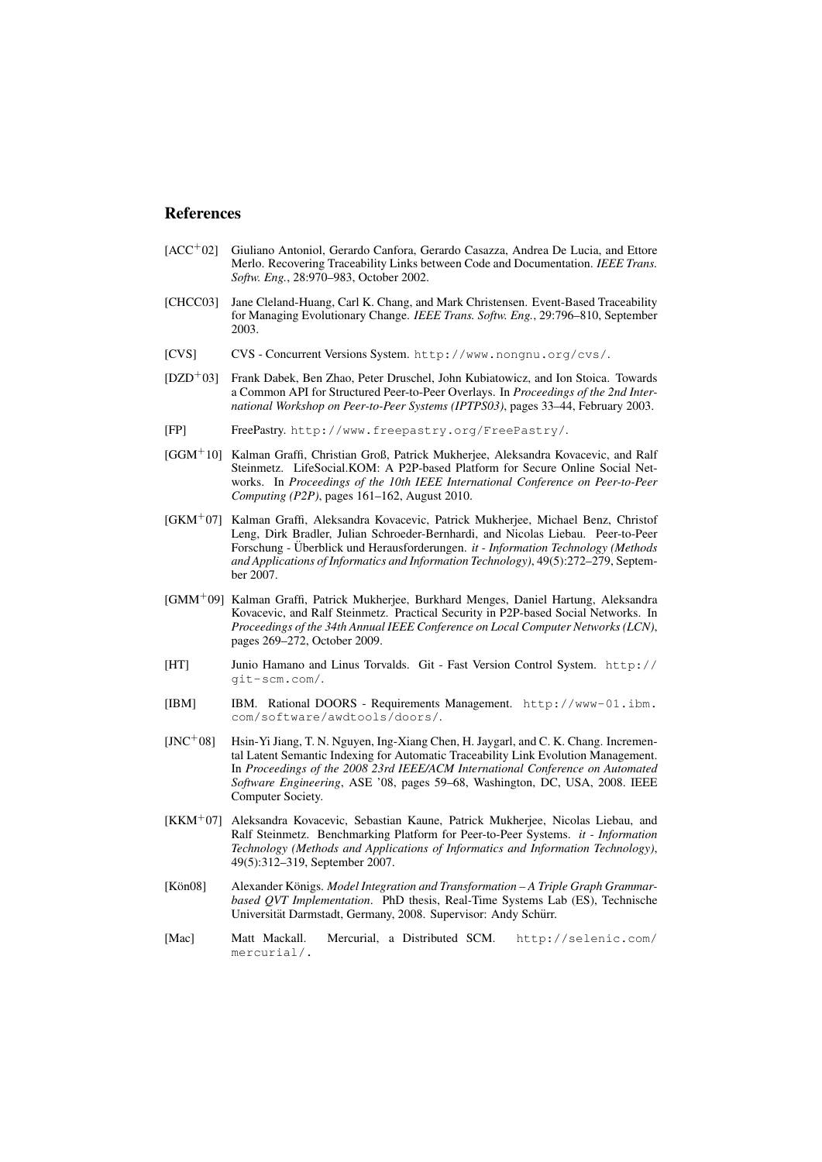#### References

- [ACC<sup>+</sup>02] Giuliano Antoniol, Gerardo Canfora, Gerardo Casazza, Andrea De Lucia, and Ettore Merlo. Recovering Traceability Links between Code and Documentation. *IEEE Trans. Softw. Eng.*, 28:970–983, October 2002.
- [CHCC03] Jane Cleland-Huang, Carl K. Chang, and Mark Christensen. Event-Based Traceability for Managing Evolutionary Change. *IEEE Trans. Softw. Eng.*, 29:796–810, September 2003.
- [CVS] CVS Concurrent Versions System. http://www.nongnu.org/cvs/.
- [DZD<sup>+</sup>03] Frank Dabek, Ben Zhao, Peter Druschel, John Kubiatowicz, and Ion Stoica. Towards a Common API for Structured Peer-to-Peer Overlays. In *Proceedings of the 2nd International Workshop on Peer-to-Peer Systems (IPTPS03)*, pages 33–44, February 2003.
- [FP] FreePastry. http://www.freepastry.org/FreePastry/.
- [GGM<sup>+</sup>10] Kalman Graffi, Christian Groß, Patrick Mukherjee, Aleksandra Kovacevic, and Ralf Steinmetz. LifeSocial.KOM: A P2P-based Platform for Secure Online Social Networks. In *Proceedings of the 10th IEEE International Conference on Peer-to-Peer Computing (P2P)*, pages 161–162, August 2010.
- [GKM<sup>+</sup>07] Kalman Graffi, Aleksandra Kovacevic, Patrick Mukherjee, Michael Benz, Christof Leng, Dirk Bradler, Julian Schroeder-Bernhardi, and Nicolas Liebau. Peer-to-Peer Forschung - Überblick und Herausforderungen. it - Information Technology (Methods *and Applications of Informatics and Information Technology)*, 49(5):272–279, September 2007.
- [GMM<sup>+</sup>09] Kalman Graffi, Patrick Mukherjee, Burkhard Menges, Daniel Hartung, Aleksandra Kovacevic, and Ralf Steinmetz. Practical Security in P2P-based Social Networks. In *Proceedings of the 34th Annual IEEE Conference on Local Computer Networks (LCN)*, pages 269–272, October 2009.
- [HT] Junio Hamano and Linus Torvalds. Git Fast Version Control System. http:// git-scm.com/.
- [IBM] IBM. Rational DOORS Requirements Management. http://www-01.ibm. com/software/awdtools/doors/.
- [JNC<sup>+</sup>08] Hsin-Yi Jiang, T. N. Nguyen, Ing-Xiang Chen, H. Jaygarl, and C. K. Chang. Incremental Latent Semantic Indexing for Automatic Traceability Link Evolution Management. In *Proceedings of the 2008 23rd IEEE/ACM International Conference on Automated Software Engineering*, ASE '08, pages 59–68, Washington, DC, USA, 2008. IEEE Computer Society.
- [KKM<sup>+</sup>07] Aleksandra Kovacevic, Sebastian Kaune, Patrick Mukherjee, Nicolas Liebau, and Ralf Steinmetz. Benchmarking Platform for Peer-to-Peer Systems. *it - Information Technology (Methods and Applications of Informatics and Information Technology)*, 49(5):312–319, September 2007.
- [Kön08] Alexander Königs. *Model Integration and Transformation A Triple Graph Grammarbased QVT Implementation*. PhD thesis, Real-Time Systems Lab (ES), Technische Universität Darmstadt, Germany, 2008. Supervisor: Andy Schürr.
- [Mac] Matt Mackall. Mercurial, a Distributed SCM. http://selenic.com/ mercurial/.